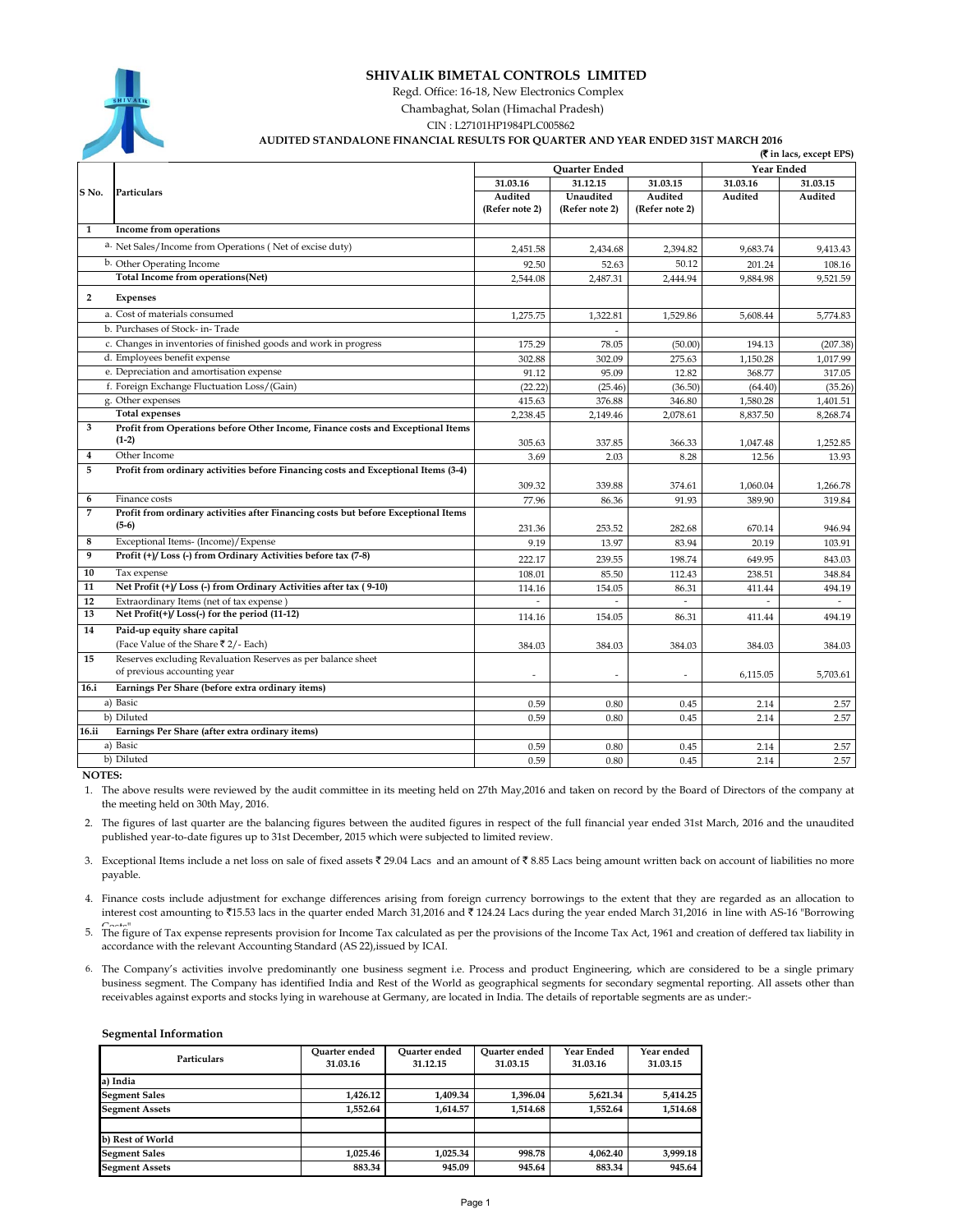

### **SHIVALIK BIMETAL CONTROLS LIMITED**

Regd. Office: 16-18, New Electronics Complex

Chambaghat, Solan (Himachal Pradesh)

CIN : L27101HP1984PLC005862

#### **AUDITED STANDALONE FINANCIAL RESULTS FOR QUARTER AND YEAR ENDED 31ST MARCH 2016**

|                |                                                                                    | (र in lacs, except EPS) |                |                |            |          |  |
|----------------|------------------------------------------------------------------------------------|-------------------------|----------------|----------------|------------|----------|--|
|                |                                                                                    | <b>Ouarter Ended</b>    |                |                | Year Ended |          |  |
|                | Particulars                                                                        | 31.03.16                | 31.12.15       | 31.03.15       | 31.03.16   | 31.03.15 |  |
| S No.          |                                                                                    | Audited                 | Unaudited      | Audited        | Audited    | Audited  |  |
|                |                                                                                    | (Refer note 2)          | (Refer note 2) | (Refer note 2) |            |          |  |
| $\mathbf{1}$   | Income from operations                                                             |                         |                |                |            |          |  |
|                | a. Net Sales/Income from Operations (Net of excise duty)                           | 2,451.58                | 2,434.68       | 2,394.82       | 9,683.74   | 9,413.43 |  |
|                | b. Other Operating Income                                                          | 92.50                   | 52.63          | 50.12          | 201.24     | 108.16   |  |
|                | Total Income from operations(Net)                                                  | 2,544.08                | 2,487.31       | 2,444.94       | 9,884.98   | 9,521.59 |  |
| $\overline{2}$ | <b>Expenses</b>                                                                    |                         |                |                |            |          |  |
|                | a. Cost of materials consumed                                                      | 1,275.75                | 1,322.81       | 1,529.86       | 5,608.44   | 5,774.83 |  |
|                | b. Purchases of Stock- in-Trade                                                    |                         |                |                |            |          |  |
|                | c. Changes in inventories of finished goods and work in progress                   | 175.29                  | 78.05          | (50.00)        | 194.13     | (207.38) |  |
|                | d. Employees benefit expense                                                       | 302.88                  | 302.09         | 275.63         | 1,150.28   | 1,017.99 |  |
|                | e. Depreciation and amortisation expense                                           | 91.12                   | 95.09          | 12.82          | 368.77     | 317.05   |  |
|                | f. Foreign Exchange Fluctuation Loss/(Gain)                                        | (22.22)                 | (25.46)        | (36.50)        | (64.40)    | (35.26)  |  |
|                | g. Other expenses                                                                  | 415.63                  | 376.88         | 346.80         | 1,580.28   | 1,401.51 |  |
|                | <b>Total expenses</b>                                                              | 2,238.45                | 2,149.46       | 2,078.61       | 8,837.50   | 8,268.74 |  |
| 3              | Profit from Operations before Other Income, Finance costs and Exceptional Items    |                         |                |                |            |          |  |
|                | $(1-2)$                                                                            | 305.63                  | 337.85         | 366.33         | 1,047.48   | 1,252.85 |  |
| 4              | Other Income                                                                       | 3.69                    | 2.03           | 8.28           | 12.56      | 13.93    |  |
| 5              | Profit from ordinary activities before Financing costs and Exceptional Items (3-4) |                         |                |                |            |          |  |
|                |                                                                                    | 309.32                  | 339.88         | 374.61         | 1,060.04   | 1,266.78 |  |
| 6              | Finance costs                                                                      | 77.96                   | 86.36          | 91.93          | 389.90     | 319.84   |  |
| 7              | Profit from ordinary activities after Financing costs but before Exceptional Items |                         |                |                |            |          |  |
|                | $(5-6)$                                                                            | 231.36                  | 253.52         | 282.68         | 670.14     | 946.94   |  |
| 8              | Exceptional Items- (Income)/Expense                                                | 9.19                    | 13.97          | 83.94          | 20.19      | 103.91   |  |
| 9              | Profit (+)/Loss (-) from Ordinary Activities before tax (7-8)                      | 222.17                  | 239.55         | 198.74         | 649.95     | 843.03   |  |
| 10             | Tax expense                                                                        | 108.01                  | 85.50          | 112.43         | 238.51     | 348.84   |  |
| 11             | Net Profit (+)/Loss (-) from Ordinary Activities after tax (9-10)                  | 114.16                  | 154.05         | 86.31          | 411.44     | 494.19   |  |
| 12             | Extraordinary Items (net of tax expense                                            |                         |                |                |            |          |  |
| 13             | Net $Profit(+) / Loss(-)$ for the period (11-12)                                   | 114.16                  | 154.05         | 86.31          | 411.44     | 494.19   |  |
| 14             | Paid-up equity share capital                                                       |                         |                |                |            |          |  |
|                | (Face Value of the Share ₹2/- Each)                                                | 384.03                  | 384.03         | 384.03         | 384.03     | 384.03   |  |
| 15             | Reserves excluding Revaluation Reserves as per balance sheet                       |                         |                |                |            |          |  |
|                | of previous accounting year                                                        |                         |                | Ĭ.             | 6,115.05   | 5,703.61 |  |
| 16.i           | Earnings Per Share (before extra ordinary items)                                   |                         |                |                |            |          |  |
|                | a) Basic                                                                           | 0.59                    | 0.80           | 0.45           | 2.14       | 2.57     |  |
|                | b) Diluted                                                                         | 0.59                    | 0.80           | 0.45           | 2.14       | 2.57     |  |
| 16.ii          | Earnings Per Share (after extra ordinary items)                                    |                         |                |                |            |          |  |
|                | a) Basic                                                                           | 0.59                    | 0.80           | 0.45           | 2.14       | 2.57     |  |
|                | b) Diluted                                                                         | 0.59                    | 0.80           | 0.45           | 2.14       | 2.57     |  |

 **NOTES:**

1. The above results were reviewed by the audit committee in its meeting held on 27th May,2016 and taken on record by the Board of Directors of the company at the meeting held on 30th May, 2016.

2. The figures of last quarter are the balancing figures between the audited figures in respect of the full financial year ended 31st March, 2016 and the unaudited published year-to-date figures up to 31st December, 2015 which were subjected to limited review.

3. Exceptional Items include a net loss on sale of fixed assets  $\bar{\epsilon}$  29.04 Lacs and an amount of  $\bar{\epsilon}$  8.85 Lacs being amount written back on account of liabilities no more payable.

4. Finance costs include adjustment for exchange differences arising from foreign currency borrowings to the extent that they are regarded as an allocation to interest cost amounting to ₹15.53 lacs in the quarter ended March 31,2016 and ₹124.24 Lacs during the year ended March 31,2016 in line with AS-16 "Borrowing

5. The figure of Tax expense represents provision for Income Tax calculated as per the provisions of the Income Tax Act, 1961 and creation of deffered tax liability in accordance with the relevant Accounting Standard (AS 22), issued by ICAI.

6. The Company's activities involve predominantly one business segment i.e. Process and product Engineering, which are considered to be a single primary business segment. The Company has identified India and Rest of the World as geographical segments for secondary segmental reporting. All assets other than receivables against exports and stocks lying in warehouse at Germany, are located in India. The details of reportable segments are as under:-

#### **Segmental Information**

| <b>Particulars</b>    | Ouarter ended<br>31.03.16 | Ouarter ended<br>31.12.15 | Ouarter ended<br>31.03.15 | Year Ended<br>31.03.16 | Year ended<br>31.03.15 |
|-----------------------|---------------------------|---------------------------|---------------------------|------------------------|------------------------|
| a) India              |                           |                           |                           |                        |                        |
| <b>Segment Sales</b>  | 1.426.12                  | 1.409.34                  | 1,396.04                  | 5,621.34               | 5,414.25               |
| <b>Segment Assets</b> | 1.552.64                  | 1.614.57                  | 1.514.68                  | 1.552.64               | 1,514.68               |
|                       |                           |                           |                           |                        |                        |
| b) Rest of World      |                           |                           |                           |                        |                        |
| <b>Segment Sales</b>  | 1.025.46                  | 1.025.34                  | 998.78                    | 4.062.40               | 3,999.18               |
| <b>Segment Assets</b> | 883.34                    | 945.09                    | 945.64                    | 883.34                 | 945.64                 |